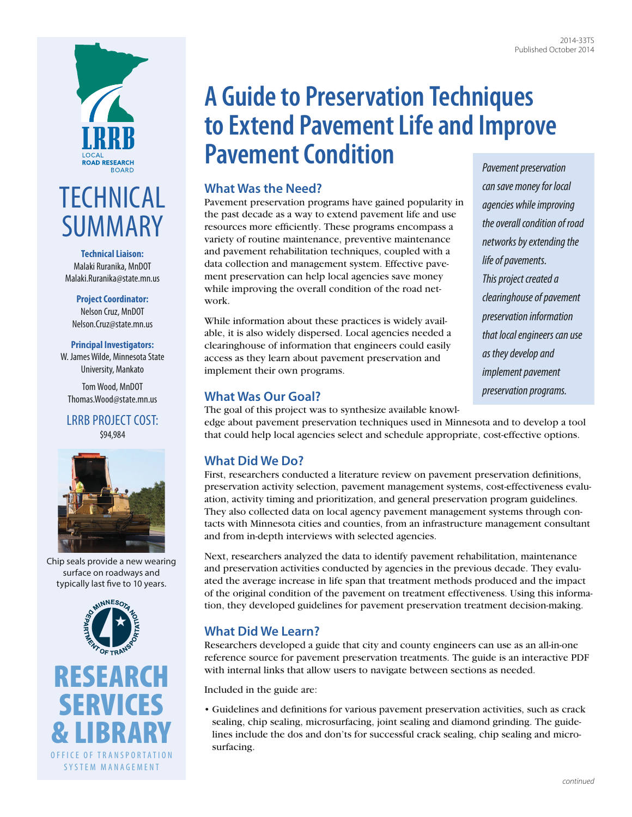

# **TECHNICAL** SUMMARY

**Technical Liaison:** Malaki Ruranika, MnDOT [Malaki.Ruranika@state.mn.us](mailto:Malaki.Ruranika@state.mn.us)

**Project Coordinator:** Nelson Cruz, MnDOT [Nelson.Cruz@state.mn.us](mailto:Nelson.Cruz@state.mn.us)

#### **Principal Investigators:**

W. James Wilde, Minnesota State University, Mankato

Tom Wood, MnDOT Thomas.Wood@state.mn.us

LRRB PROJECT COST: \$94,984



Chip seals provide a new wearing surface on roadways and typically last five to 10 years.



**A Guide to Preservation Techniques to Extend Pavement Life and Improve Pavement Condition** *Pavement preservation* 

#### **What Was the Need?**

Pavement preservation programs have gained popularity in the past decade as a way to extend pavement life and use resources more efficiently. These programs encompass a variety of routine maintenance, preventive maintenance and pavement rehabilitation techniques, coupled with a data collection and management system. Effective pavement preservation can help local agencies save money while improving the overall condition of the road network.

While information about these practices is widely available, it is also widely dispersed. Local agencies needed a clearinghouse of information that engineers could easily access as they learn about pavement preservation and implement their own programs.

*can save money for local agencies while improving the overall condition of road networks by extending the life of pavements. This project created a clearinghouse of pavement preservation information that local engineers can use as they develop and implement pavement preservation programs.*

### **What Was Our Goal?**

The goal of this project was to synthesize available knowledge about pavement preservation techniques used in Minnesota and to develop a tool that could help local agencies select and schedule appropriate, cost-effective options.

## **What Did We Do?**

First, researchers conducted a literature review on pavement preservation definitions, preservation activity selection, pavement management systems, cost-effectiveness evaluation, activity timing and prioritization, and general preservation program guidelines. They also collected data on local agency pavement management systems through contacts with Minnesota cities and counties, from an infrastructure management consultant and from in-depth interviews with selected agencies.

Next, researchers analyzed the data to identify pavement rehabilitation, maintenance and preservation activities conducted by agencies in the previous decade. They evaluated the average increase in life span that treatment methods produced and the impact of the original condition of the pavement on treatment effectiveness. Using this information, they developed guidelines for pavement preservation treatment decision-making.

## **What Did We Learn?**

Researchers developed a guide that city and county engineers can use as an all-in-one reference source for pavement preservation treatments. The guide is an interactive PDF with internal links that allow users to navigate between sections as needed.

Included in the guide are:

• Guidelines and definitions for various pavement preservation activities, such as crack sealing, chip sealing, microsurfacing, joint sealing and diamond grinding. The guidelines include the dos and don'ts for successful crack sealing, chip sealing and microsurfacing.